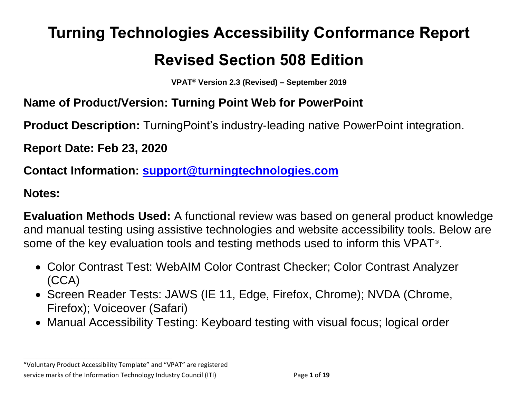# **Turning Technologies Accessibility Conformance Report Revised Section 508 Edition**

**VPAT**® **Version 2.3 (Revised) – September 2019**

# **Name of Product/Version: Turning Point Web for PowerPoint**

**Product Description:** TurningPoint's industry-leading native PowerPoint integration.

**Report Date: Feb 23, 2020**

**Contact Information: [support@turningtechnologies.com](mailto:support@turningtechnologies.com)**

#### **Notes:**

**Evaluation Methods Used:** A functional review was based on general product knowledge and manual testing using assistive technologies and website accessibility tools. Below are some of the key evaluation tools and testing methods used to inform this VPAT<sup>®</sup>.

- Color Contrast Test: WebAIM Color Contrast Checker; Color Contrast Analyzer (CCA)
- Screen Reader Tests: JAWS (IE 11, Edge, Firefox, Chrome); NVDA (Chrome, Firefox); Voiceover (Safari)
- Manual Accessibility Testing: Keyboard testing with visual focus; logical order

"Voluntary Product Accessibility Template" and "VPAT" are registered service marks of the Information Technology Industry Council (ITI) Page **1** of **19**

**\_\_\_\_\_\_\_\_\_\_\_\_\_\_\_\_\_\_\_\_\_\_\_\_\_\_\_\_\_\_\_\_\_\_**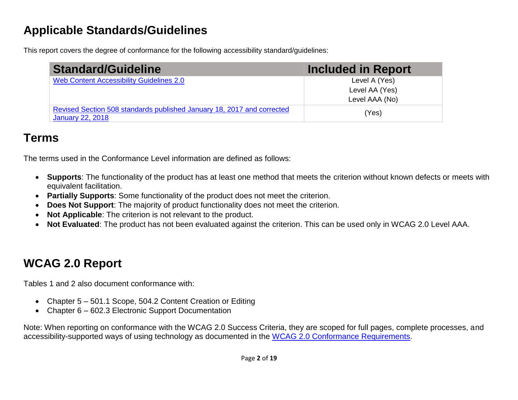# **Applicable Standards/Guidelines**

This report covers the degree of conformance for the following accessibility standard/guidelines:

| <b>Standard/Guideline</b>                                                                         | <b>Included in Report</b> |
|---------------------------------------------------------------------------------------------------|---------------------------|
| Web Content Accessibility Guidelines 2.0                                                          | Level A (Yes)             |
|                                                                                                   | Level AA (Yes)            |
|                                                                                                   | Level AAA (No)            |
| Revised Section 508 standards published January 18, 2017 and corrected<br><b>January 22, 2018</b> | (Yes)                     |

# **Terms**

The terms used in the Conformance Level information are defined as follows:

- **Supports**: The functionality of the product has at least one method that meets the criterion without known defects or meets with equivalent facilitation.
- **Partially Supports**: Some functionality of the product does not meet the criterion.
- **Does Not Support**: The majority of product functionality does not meet the criterion.
- **Not Applicable**: The criterion is not relevant to the product.
- **Not Evaluated**: The product has not been evaluated against the criterion. This can be used only in WCAG 2.0 Level AAA.

# **WCAG 2.0 Report**

Tables 1 and 2 also document conformance with:

- Chapter 5 501.1 Scope, 504.2 Content Creation or Editing
- Chapter 6 602.3 Electronic Support Documentation

Note: When reporting on conformance with the WCAG 2.0 Success Criteria, they are scoped for full pages, complete processes, and accessibility-supported ways of using technology as documented in the [WCAG 2.0 Conformance Requirements.](https://www.w3.org/TR/WCAG20/#conformance-reqs)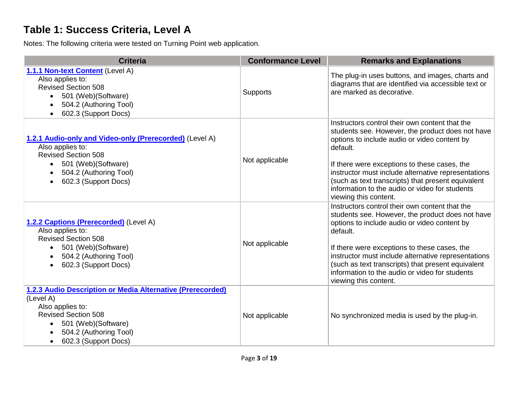#### **Table 1: Success Criteria, Level A**

Notes: The following criteria were tested on Turning Point web application.

| <b>Criteria</b>                                                                                                                                                                                                              | <b>Conformance Level</b> | <b>Remarks and Explanations</b>                                                                                                                                                                                                                                                                                                                                                                        |
|------------------------------------------------------------------------------------------------------------------------------------------------------------------------------------------------------------------------------|--------------------------|--------------------------------------------------------------------------------------------------------------------------------------------------------------------------------------------------------------------------------------------------------------------------------------------------------------------------------------------------------------------------------------------------------|
| 1.1.1 Non-text Content (Level A)<br>Also applies to:<br><b>Revised Section 508</b><br>501 (Web)(Software)<br>$\bullet$<br>504.2 (Authoring Tool)<br>٠<br>602.3 (Support Docs)<br>$\bullet$                                   | <b>Supports</b>          | The plug-in uses buttons, and images, charts and<br>diagrams that are identified via accessible text or<br>are marked as decorative.                                                                                                                                                                                                                                                                   |
| 1.2.1 Audio-only and Video-only (Prerecorded) (Level A)<br>Also applies to:<br><b>Revised Section 508</b><br>501 (Web) (Software)<br>$\bullet$<br>504.2 (Authoring Tool)<br>$\bullet$<br>602.3 (Support Docs)<br>$\bullet$   | Not applicable           | Instructors control their own content that the<br>students see. However, the product does not have<br>options to include audio or video content by<br>default.<br>If there were exceptions to these cases, the<br>instructor must include alternative representations<br>(such as text transcripts) that present equivalent<br>information to the audio or video for students<br>viewing this content. |
| 1.2.2 Captions (Prerecorded) (Level A)<br>Also applies to:<br><b>Revised Section 508</b><br>501 (Web)(Software)<br>$\bullet$<br>504.2 (Authoring Tool)<br>$\bullet$<br>602.3 (Support Docs)<br>$\bullet$                     | Not applicable           | Instructors control their own content that the<br>students see. However, the product does not have<br>options to include audio or video content by<br>default.<br>If there were exceptions to these cases, the<br>instructor must include alternative representations<br>(such as text transcripts) that present equivalent<br>information to the audio or video for students<br>viewing this content. |
| 1.2.3 Audio Description or Media Alternative (Prerecorded)<br>(Level A)<br>Also applies to:<br><b>Revised Section 508</b><br>501 (Web)(Software)<br>$\bullet$<br>504.2 (Authoring Tool)<br>602.3 (Support Docs)<br>$\bullet$ | Not applicable           | No synchronized media is used by the plug-in.                                                                                                                                                                                                                                                                                                                                                          |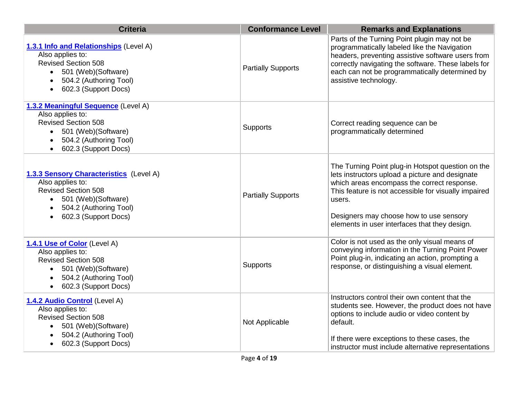| <b>Criteria</b>                                                                                                                                                                          | <b>Conformance Level</b>  | <b>Remarks and Explanations</b>                                                                                                                                                                                                                                                                                   |
|------------------------------------------------------------------------------------------------------------------------------------------------------------------------------------------|---------------------------|-------------------------------------------------------------------------------------------------------------------------------------------------------------------------------------------------------------------------------------------------------------------------------------------------------------------|
| 1.3.1 Info and Relationships (Level A)<br>Also applies to:<br><b>Revised Section 508</b><br>501 (Web) (Software)<br>504.2 (Authoring Tool)<br>602.3 (Support Docs)                       | <b>Partially Supports</b> | Parts of the Turning Point plugin may not be<br>programmatically labeled like the Navigation<br>headers, preventing assistive software users from<br>correctly navigating the software. These labels for<br>each can not be programmatically determined by<br>assistive technology.                               |
| 1.3.2 Meaningful Sequence (Level A)<br>Also applies to:<br><b>Revised Section 508</b><br>501 (Web)(Software)<br>$\bullet$<br>504.2 (Authoring Tool)<br>$\bullet$<br>602.3 (Support Docs) | <b>Supports</b>           | Correct reading sequence can be<br>programmatically determined                                                                                                                                                                                                                                                    |
| 1.3.3 Sensory Characteristics (Level A)<br>Also applies to:<br><b>Revised Section 508</b><br>501 (Web)(Software)<br>504.2 (Authoring Tool)<br>602.3 (Support Docs)                       | <b>Partially Supports</b> | The Turning Point plug-in Hotspot question on the<br>lets instructors upload a picture and designate<br>which areas encompass the correct response.<br>This feature is not accessible for visually impaired<br>users.<br>Designers may choose how to use sensory<br>elements in user interfaces that they design. |
| 1.4.1 Use of Color (Level A)<br>Also applies to:<br><b>Revised Section 508</b><br>501 (Web)(Software)<br>$\bullet$<br>504.2 (Authoring Tool)<br>$\bullet$<br>602.3 (Support Docs)        | Supports                  | Color is not used as the only visual means of<br>conveying information in the Turning Point Power<br>Point plug-in, indicating an action, prompting a<br>response, or distinguishing a visual element.                                                                                                            |
| 1.4.2 Audio Control (Level A)<br>Also applies to:<br><b>Revised Section 508</b><br>• 501 (Web) (Software)<br>504.2 (Authoring Tool)<br>602.3 (Support Docs)                              | Not Applicable            | Instructors control their own content that the<br>students see. However, the product does not have<br>options to include audio or video content by<br>default.<br>If there were exceptions to these cases, the<br>instructor must include alternative representations                                             |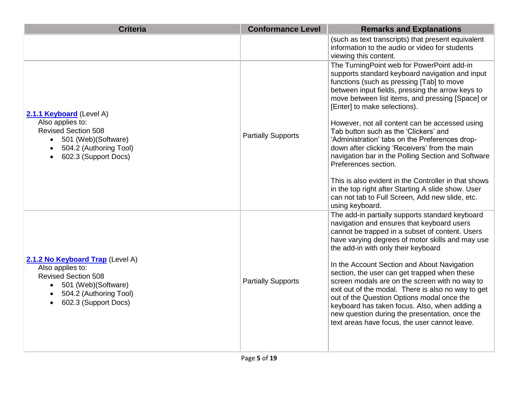| <b>Criteria</b>                                                                                                                                                                                     | <b>Conformance Level</b>  | <b>Remarks and Explanations</b>                                                                                                                                                                                                                                                                                                                                                                                                                                                                                                                                                                                                                                                                                                 |
|-----------------------------------------------------------------------------------------------------------------------------------------------------------------------------------------------------|---------------------------|---------------------------------------------------------------------------------------------------------------------------------------------------------------------------------------------------------------------------------------------------------------------------------------------------------------------------------------------------------------------------------------------------------------------------------------------------------------------------------------------------------------------------------------------------------------------------------------------------------------------------------------------------------------------------------------------------------------------------------|
|                                                                                                                                                                                                     |                           | (such as text transcripts) that present equivalent<br>information to the audio or video for students<br>viewing this content.                                                                                                                                                                                                                                                                                                                                                                                                                                                                                                                                                                                                   |
| 2.1.1 Keyboard (Level A)<br>Also applies to:<br><b>Revised Section 508</b><br>501 (Web)(Software)<br>$\bullet$<br>504.2 (Authoring Tool)<br>$\bullet$<br>602.3 (Support Docs)<br>$\bullet$          | <b>Partially Supports</b> | The TurningPoint web for PowerPoint add-in<br>supports standard keyboard navigation and input<br>functions (such as pressing [Tab] to move<br>between input fields, pressing the arrow keys to<br>move between list items, and pressing [Space] or<br>[Enter] to make selections).<br>However, not all content can be accessed using<br>Tab button such as the 'Clickers' and<br>'Administration' tabs on the Preferences drop-<br>down after clicking 'Receivers' from the main<br>navigation bar in the Polling Section and Software<br>Preferences section.<br>This is also evident in the Controller in that shows<br>in the top right after Starting A slide show. User<br>can not tab to Full Screen, Add new slide, etc. |
| 2.1.2 No Keyboard Trap (Level A)<br>Also applies to:<br><b>Revised Section 508</b><br>501 (Web) (Software)<br>$\bullet$<br>504.2 (Authoring Tool)<br>$\bullet$<br>602.3 (Support Docs)<br>$\bullet$ | <b>Partially Supports</b> | using keyboard.<br>The add-in partially supports standard keyboard<br>navigation and ensures that keyboard users<br>cannot be trapped in a subset of content. Users<br>have varying degrees of motor skills and may use<br>the add-in with only their keyboard<br>In the Account Section and About Navigation<br>section, the user can get trapped when these<br>screen modals are on the screen with no way to<br>exit out of the modal. There is also no way to get<br>out of the Question Options modal once the<br>keyboard has taken focus. Also, when adding a<br>new question during the presentation, once the<br>text areas have focus, the user cannot leave.                                                         |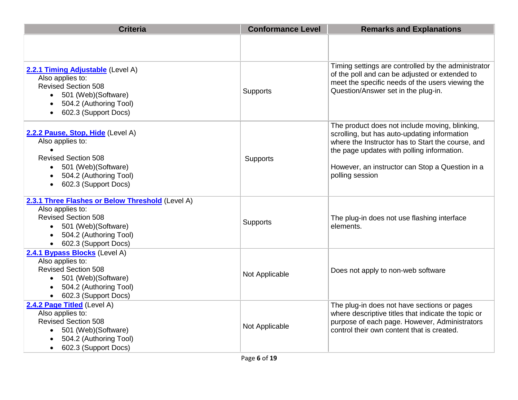| <b>Criteria</b>                                                                                                                                                                                      | <b>Conformance Level</b> | <b>Remarks and Explanations</b>                                                                                                                                                                                                                                         |
|------------------------------------------------------------------------------------------------------------------------------------------------------------------------------------------------------|--------------------------|-------------------------------------------------------------------------------------------------------------------------------------------------------------------------------------------------------------------------------------------------------------------------|
|                                                                                                                                                                                                      |                          |                                                                                                                                                                                                                                                                         |
| 2.2.1 Timing Adjustable (Level A)<br>Also applies to:<br><b>Revised Section 508</b><br>501 (Web)(Software)<br>$\bullet$<br>504.2 (Authoring Tool)<br>602.3 (Support Docs)<br>$\bullet$               | <b>Supports</b>          | Timing settings are controlled by the administrator<br>of the poll and can be adjusted or extended to<br>meet the specific needs of the users viewing the<br>Question/Answer set in the plug-in.                                                                        |
| 2.2.2 Pause, Stop, Hide (Level A)<br>Also applies to:<br>$\bullet$<br><b>Revised Section 508</b><br>501 (Web) (Software)<br>$\bullet$<br>504.2 (Authoring Tool)<br>602.3 (Support Docs)<br>$\bullet$ | Supports                 | The product does not include moving, blinking,<br>scrolling, but has auto-updating information<br>where the Instructor has to Start the course, and<br>the page updates with polling information.<br>However, an instructor can Stop a Question in a<br>polling session |
| 2.3.1 Three Flashes or Below Threshold (Level A)<br>Also applies to:<br><b>Revised Section 508</b><br>501 (Web)(Software)<br>504.2 (Authoring Tool)<br>602.3 (Support Docs)                          | <b>Supports</b>          | The plug-in does not use flashing interface<br>elements.                                                                                                                                                                                                                |
| 2.4.1 Bypass Blocks (Level A)<br>Also applies to:<br><b>Revised Section 508</b><br>• 501 (Web) (Software)<br>504.2 (Authoring Tool)<br>602.3 (Support Docs)<br>$\bullet$                             | Not Applicable           | Does not apply to non-web software                                                                                                                                                                                                                                      |
| 2.4.2 Page Titled (Level A)<br>Also applies to:<br><b>Revised Section 508</b><br>501 (Web)(Software)<br>$\bullet$<br>504.2 (Authoring Tool)<br>602.3 (Support Docs)<br>$\bullet$                     | Not Applicable           | The plug-in does not have sections or pages<br>where descriptive titles that indicate the topic or<br>purpose of each page. However, Administrators<br>control their own content that is created.                                                                       |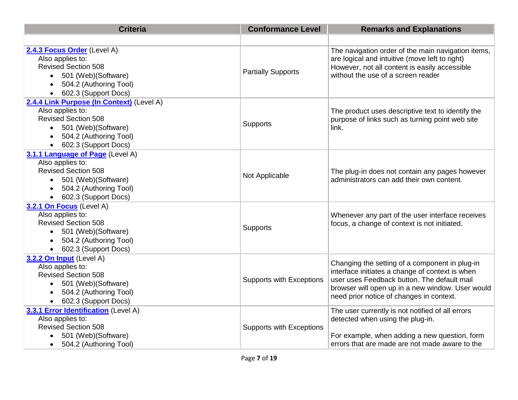| <b>Criteria</b>                                                                                                                                                      | <b>Conformance Level</b>        | <b>Remarks and Explanations</b>                                                                                                                                                                                                                  |
|----------------------------------------------------------------------------------------------------------------------------------------------------------------------|---------------------------------|--------------------------------------------------------------------------------------------------------------------------------------------------------------------------------------------------------------------------------------------------|
|                                                                                                                                                                      |                                 |                                                                                                                                                                                                                                                  |
| 2.4.3 Focus Order (Level A)<br>Also applies to:<br><b>Revised Section 508</b><br>501 (Web)(Software)<br>504.2 (Authoring Tool)<br>602.3 (Support Docs)               | <b>Partially Supports</b>       | The navigation order of the main navigation items,<br>are logical and intuitive (move left to right)<br>However, not all content is easily accessible<br>without the use of a screen reader                                                      |
| 2.4.4 Link Purpose (In Context) (Level A)<br>Also applies to:<br><b>Revised Section 508</b><br>501 (Web)(Software)<br>504.2 (Authoring Tool)<br>602.3 (Support Docs) | Supports                        | The product uses descriptive text to identify the<br>purpose of links such as turning point web site<br>link.                                                                                                                                    |
| 3.1.1 Language of Page (Level A)<br>Also applies to:<br><b>Revised Section 508</b><br>501 (Web)(Software)<br>504.2 (Authoring Tool)<br>602.3 (Support Docs)          | Not Applicable                  | The plug-in does not contain any pages however<br>administrators can add their own content.                                                                                                                                                      |
| 3.2.1 On Focus (Level A)<br>Also applies to:<br><b>Revised Section 508</b><br>501 (Web)(Software)<br>504.2 (Authoring Tool)<br>602.3 (Support Docs)                  | Supports                        | Whenever any part of the user interface receives<br>focus, a change of context is not initiated.                                                                                                                                                 |
| 3.2.2 On Input (Level A)<br>Also applies to:<br><b>Revised Section 508</b><br>• 501 (Web) (Software)<br>504.2 (Authoring Tool)<br>602.3 (Support Docs)               | <b>Supports with Exceptions</b> | Changing the setting of a component in plug-in<br>interface initiates a change of context is when<br>user uses Feedback button. The default mail<br>browser will open up in a new window. User would<br>need prior notice of changes in context. |
| 3.3.1 Error Identification (Level A)<br>Also applies to:<br><b>Revised Section 508</b><br>501 (Web)(Software)<br>504.2 (Authoring Tool)<br>$\bullet$                 | <b>Supports with Exceptions</b> | The user currently is not notified of all errors<br>detected when using the plug-in.<br>For example, when adding a new question, form<br>errors that are made are not made aware to the                                                          |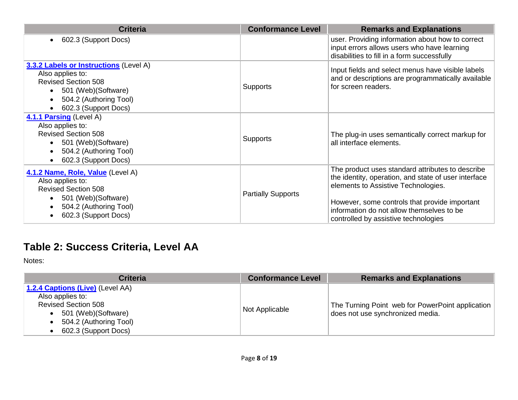| <b>Criteria</b>                                                                                                                                                                                      | <b>Conformance Level</b>  | <b>Remarks and Explanations</b>                                                                                                                                                                                                                                                       |
|------------------------------------------------------------------------------------------------------------------------------------------------------------------------------------------------------|---------------------------|---------------------------------------------------------------------------------------------------------------------------------------------------------------------------------------------------------------------------------------------------------------------------------------|
| 602.3 (Support Docs)<br>$\bullet$                                                                                                                                                                    |                           | user. Providing information about how to correct<br>input errors allows users who have learning<br>disabilities to fill in a form successfully                                                                                                                                        |
| 3.3.2 Labels or Instructions (Level A)<br>Also applies to:<br><b>Revised Section 508</b><br>501 (Web)(Software)<br>$\bullet$<br>504.2 (Authoring Tool)<br>$\bullet$<br>602.3 (Support Docs)          | <b>Supports</b>           | Input fields and select menus have visible labels<br>and or descriptions are programmatically available<br>for screen readers.                                                                                                                                                        |
| 4.1.1 Parsing (Level A)<br>Also applies to:<br><b>Revised Section 508</b><br>501 (Web) (Software)<br>$\bullet$<br>504.2 (Authoring Tool)<br>$\bullet$<br>602.3 (Support Docs)<br>$\bullet$           | Supports                  | The plug-in uses semantically correct markup for<br>all interface elements.                                                                                                                                                                                                           |
| 4.1.2 Name, Role, Value (Level A)<br>Also applies to:<br><b>Revised Section 508</b><br>501 (Web) (Software)<br>$\bullet$<br>504.2 (Authoring Tool)<br>$\bullet$<br>602.3 (Support Docs)<br>$\bullet$ | <b>Partially Supports</b> | The product uses standard attributes to describe<br>the identity, operation, and state of user interface<br>elements to Assistive Technologies.<br>However, some controls that provide important<br>information do not allow themselves to be<br>controlled by assistive technologies |

#### **Table 2: Success Criteria, Level AA**

Notes:

| <b>Criteria</b>                                                                                                                                              | <b>Conformance Level</b> | <b>Remarks and Explanations</b>                                                        |
|--------------------------------------------------------------------------------------------------------------------------------------------------------------|--------------------------|----------------------------------------------------------------------------------------|
| 1.2.4 Captions (Live) (Level AA)<br>Also applies to:<br><b>Revised Section 508</b><br>501 (Web) (Software)<br>504.2 (Authoring Tool)<br>602.3 (Support Docs) | Not Applicable           | The Turning Point web for PowerPoint application  <br>does not use synchronized media. |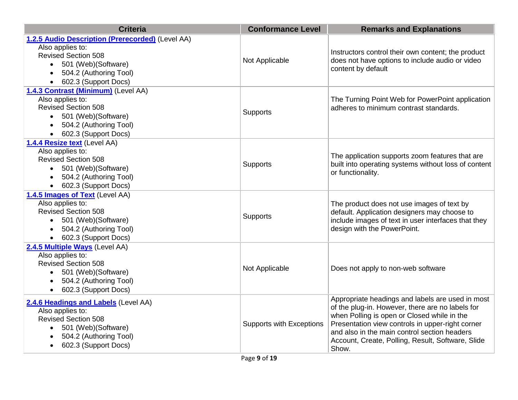| <b>Criteria</b>                                                                                                                                                                                          | <b>Conformance Level</b>        | <b>Remarks and Explanations</b>                                                                                                                                                                                                                                                                                       |
|----------------------------------------------------------------------------------------------------------------------------------------------------------------------------------------------------------|---------------------------------|-----------------------------------------------------------------------------------------------------------------------------------------------------------------------------------------------------------------------------------------------------------------------------------------------------------------------|
| 1.2.5 Audio Description (Prerecorded) (Level AA)<br>Also applies to:<br><b>Revised Section 508</b><br>• 501 (Web) (Software)<br>504.2 (Authoring Tool)<br>$\bullet$<br>602.3 (Support Docs)<br>$\bullet$ | Not Applicable                  | Instructors control their own content; the product<br>does not have options to include audio or video<br>content by default                                                                                                                                                                                           |
| 1.4.3 Contrast (Minimum) (Level AA)<br>Also applies to:<br><b>Revised Section 508</b><br>501 (Web)(Software)<br>504.2 (Authoring Tool)<br>602.3 (Support Docs)                                           | Supports                        | The Turning Point Web for PowerPoint application<br>adheres to minimum contrast standards.                                                                                                                                                                                                                            |
| 1.4.4 Resize text (Level AA)<br>Also applies to:<br><b>Revised Section 508</b><br>• 501 (Web)(Software)<br>504.2 (Authoring Tool)<br>• 602.3 (Support Docs)                                              | Supports                        | The application supports zoom features that are<br>built into operating systems without loss of content<br>or functionality.                                                                                                                                                                                          |
| 1.4.5 Images of Text (Level AA)<br>Also applies to:<br><b>Revised Section 508</b><br>• 501 (Web) (Software)<br>504.2 (Authoring Tool)<br>• 602.3 (Support Docs)                                          | Supports                        | The product does not use images of text by<br>default. Application designers may choose to<br>include images of text in user interfaces that they<br>design with the PowerPoint.                                                                                                                                      |
| 2.4.5 Multiple Ways (Level AA)<br>Also applies to:<br><b>Revised Section 508</b><br>• 501 (Web) (Software)<br>504.2 (Authoring Tool)<br>$\bullet$<br>602.3 (Support Docs)<br>$\bullet$                   | Not Applicable                  | Does not apply to non-web software                                                                                                                                                                                                                                                                                    |
| 2.4.6 Headings and Labels (Level AA)<br>Also applies to:<br><b>Revised Section 508</b><br>501 (Web) (Software)<br>504.2 (Authoring Tool)<br>602.3 (Support Docs)                                         | <b>Supports with Exceptions</b> | Appropriate headings and labels are used in most<br>of the plug-in. However, there are no labels for<br>when Polling is open or Closed while in the<br>Presentation view controls in upper-right corner<br>and also in the main control section headers<br>Account, Create, Polling, Result, Software, Slide<br>Show. |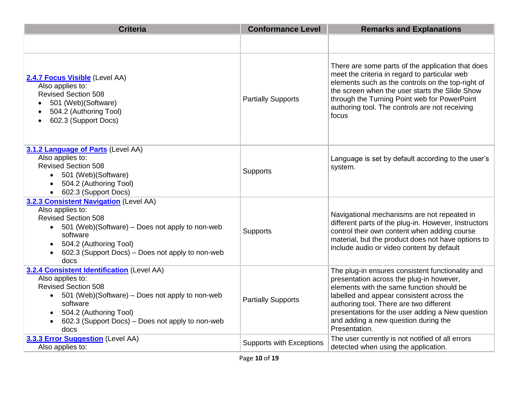| <b>Criteria</b>                                                                                                                                                                                                                                                  | <b>Conformance Level</b>        | <b>Remarks and Explanations</b>                                                                                                                                                                                                                                                                                                                |
|------------------------------------------------------------------------------------------------------------------------------------------------------------------------------------------------------------------------------------------------------------------|---------------------------------|------------------------------------------------------------------------------------------------------------------------------------------------------------------------------------------------------------------------------------------------------------------------------------------------------------------------------------------------|
|                                                                                                                                                                                                                                                                  |                                 |                                                                                                                                                                                                                                                                                                                                                |
| 2.4.7 Focus Visible (Level AA)<br>Also applies to:<br><b>Revised Section 508</b><br>501 (Web) (Software)<br>504.2 (Authoring Tool)<br>602.3 (Support Docs)                                                                                                       | <b>Partially Supports</b>       | There are some parts of the application that does<br>meet the criteria in regard to particular web<br>elements such as the controls on the top-right of<br>the screen when the user starts the Slide Show<br>through the Turning Point web for PowerPoint<br>authoring tool. The controls are not receiving<br>focus                           |
| 3.1.2 Language of Parts (Level AA)<br>Also applies to:<br><b>Revised Section 508</b><br>501 (Web)(Software)<br>$\bullet$<br>504.2 (Authoring Tool)<br>$\bullet$<br>602.3 (Support Docs)<br>$\bullet$                                                             | Supports                        | Language is set by default according to the user's<br>system.                                                                                                                                                                                                                                                                                  |
| 3.2.3 Consistent Navigation (Level AA)<br>Also applies to:<br><b>Revised Section 508</b><br>501 (Web)(Software) – Does not apply to non-web<br>$\bullet$<br>software<br>504.2 (Authoring Tool)<br>602.3 (Support Docs) – Does not apply to non-web<br>docs       | Supports                        | Navigational mechanisms are not repeated in<br>different parts of the plug-in. However, Instructors<br>control their own content when adding course<br>material, but the product does not have options to<br>include audio or video content by default                                                                                         |
| 3.2.4 Consistent Identification (Level AA)<br>Also applies to:<br><b>Revised Section 508</b><br>• 501 (Web)(Software) – Does not apply to non-web<br>software<br>504.2 (Authoring Tool)<br>602.3 (Support Docs) - Does not apply to non-web<br>$\bullet$<br>docs | <b>Partially Supports</b>       | The plug-in ensures consistent functionality and<br>presentation across the plug-in however,<br>elements with the same function should be<br>labelled and appear consistent across the<br>authoring tool. There are two different<br>presentations for the user adding a New question<br>and adding a new question during the<br>Presentation. |
| 3.3.3 Error Suggestion (Level AA)<br>Also applies to:                                                                                                                                                                                                            | <b>Supports with Exceptions</b> | The user currently is not notified of all errors<br>detected when using the application.                                                                                                                                                                                                                                                       |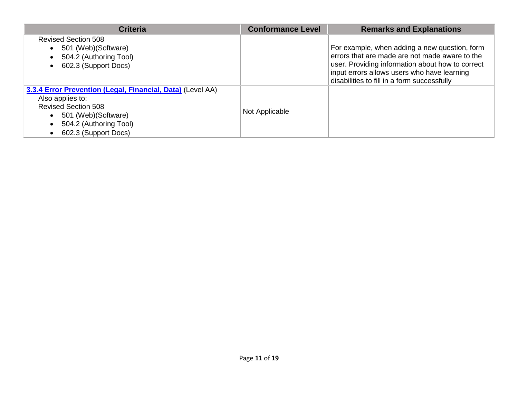| <b>Criteria</b>                                                                                                                                                                        | <b>Conformance Level</b> | <b>Remarks and Explanations</b>                                                                                                                                                                                                                   |
|----------------------------------------------------------------------------------------------------------------------------------------------------------------------------------------|--------------------------|---------------------------------------------------------------------------------------------------------------------------------------------------------------------------------------------------------------------------------------------------|
| <b>Revised Section 508</b><br>501 (Web) (Software)<br>504.2 (Authoring Tool)<br>602.3 (Support Docs)                                                                                   |                          | For example, when adding a new question, form<br>errors that are made are not made aware to the<br>user. Providing information about how to correct<br>input errors allows users who have learning<br>disabilities to fill in a form successfully |
| 3.3.4 Error Prevention (Legal, Financial, Data) (Level AA)<br>Also applies to:<br><b>Revised Section 508</b><br>501 (Web) (Software)<br>504.2 (Authoring Tool)<br>602.3 (Support Docs) | Not Applicable           |                                                                                                                                                                                                                                                   |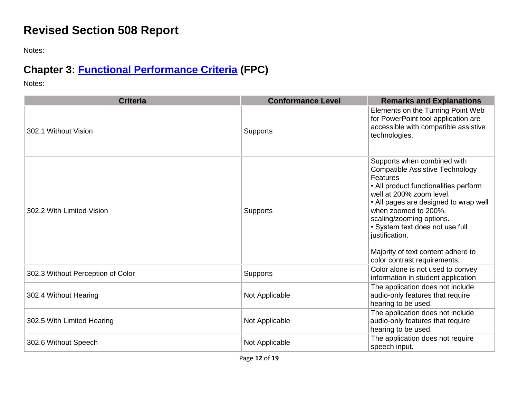### **Revised Section 508 Report**

Notes:

# **Chapter 3: [Functional Performance Criteria](https://www.access-board.gov/guidelines-and-standards/communications-and-it/about-the-ict-refresh/final-rule/text-of-the-standards-and-guidelines#302-functional-performance-criteria) (FPC)**

Notes:

| <b>Criteria</b>                   | <b>Conformance Level</b> | <b>Remarks and Explanations</b>                                                                                                                                                                                                                                                                                                                                                       |
|-----------------------------------|--------------------------|---------------------------------------------------------------------------------------------------------------------------------------------------------------------------------------------------------------------------------------------------------------------------------------------------------------------------------------------------------------------------------------|
| 302.1 Without Vision              | Supports                 | Elements on the Turning Point Web<br>for PowerPoint tool application are<br>accessible with compatible assistive<br>technologies.                                                                                                                                                                                                                                                     |
| 302.2 With Limited Vision         | Supports                 | Supports when combined with<br><b>Compatible Assistive Technology</b><br><b>Features</b><br>• All product functionalities perform<br>well at 200% zoom level.<br>• All pages are designed to wrap well<br>when zoomed to 200%.<br>scaling/zooming options.<br>• System text does not use full<br>justification.<br>Majority of text content adhere to<br>color contrast requirements. |
| 302.3 Without Perception of Color | <b>Supports</b>          | Color alone is not used to convey<br>information in student application                                                                                                                                                                                                                                                                                                               |
| 302.4 Without Hearing             | Not Applicable           | The application does not include<br>audio-only features that require<br>hearing to be used.                                                                                                                                                                                                                                                                                           |
| 302.5 With Limited Hearing        | Not Applicable           | The application does not include<br>audio-only features that require<br>hearing to be used.                                                                                                                                                                                                                                                                                           |
| 302.6 Without Speech              | Not Applicable           | The application does not require<br>speech input.                                                                                                                                                                                                                                                                                                                                     |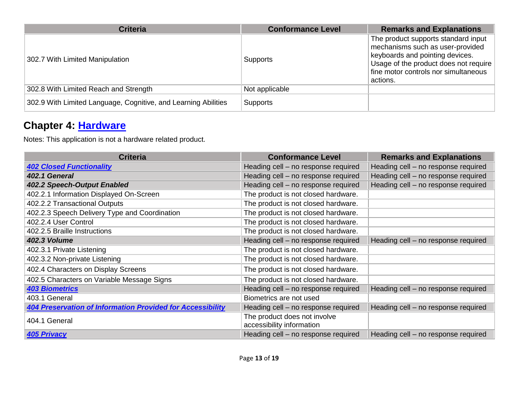| <b>Criteria</b>                                                | <b>Conformance Level</b> | <b>Remarks and Explanations</b>                                                                                                                                                                         |
|----------------------------------------------------------------|--------------------------|---------------------------------------------------------------------------------------------------------------------------------------------------------------------------------------------------------|
| 302.7 With Limited Manipulation                                | Supports                 | The product supports standard input<br>mechanisms such as user-provided<br>keyboards and pointing devices.<br>Usage of the product does not require<br>fine motor controls nor simultaneous<br>actions. |
| 302.8 With Limited Reach and Strength                          | Not applicable           |                                                                                                                                                                                                         |
| 302.9 With Limited Language, Cognitive, and Learning Abilities | Supports                 |                                                                                                                                                                                                         |

#### **Chapter 4: [Hardware](https://www.access-board.gov/guidelines-and-standards/communications-and-it/about-the-ict-refresh/final-rule/text-of-the-standards-and-guidelines#401-general)**

Notes: This application is not a hardware related product.

| <b>Criteria</b>                                                   | <b>Conformance Level</b>                                  | <b>Remarks and Explanations</b>     |
|-------------------------------------------------------------------|-----------------------------------------------------------|-------------------------------------|
| <b>402 Closed Functionality</b>                                   | Heading cell - no response required                       | Heading cell - no response required |
| 402.1 General                                                     | Heading cell - no response required                       | Heading cell - no response required |
| 402.2 Speech-Output Enabled                                       | Heading cell – no response required                       | Heading cell - no response required |
| 402.2.1 Information Displayed On-Screen                           | The product is not closed hardware.                       |                                     |
| 402.2.2 Transactional Outputs                                     | The product is not closed hardware.                       |                                     |
| 402.2.3 Speech Delivery Type and Coordination                     | The product is not closed hardware.                       |                                     |
| 402.2.4 User Control                                              | The product is not closed hardware.                       |                                     |
| 402.2.5 Braille Instructions                                      | The product is not closed hardware.                       |                                     |
| <b>402.3 Volume</b>                                               | Heading cell - no response required                       | Heading cell - no response required |
| 402.3.1 Private Listening                                         | The product is not closed hardware.                       |                                     |
| 402.3.2 Non-private Listening                                     | The product is not closed hardware.                       |                                     |
| 402.4 Characters on Display Screens                               | The product is not closed hardware.                       |                                     |
| 402.5 Characters on Variable Message Signs                        | The product is not closed hardware.                       |                                     |
| <b>403 Biometrics</b>                                             | Heading cell - no response required                       | Heading cell - no response required |
| 403.1 General                                                     | Biometrics are not used                                   |                                     |
| <b>404 Preservation of Information Provided for Accessibility</b> | Heading cell - no response required                       | Heading cell - no response required |
| 404.1 General                                                     | The product does not involve<br>accessibility information |                                     |
| <b>405 Privacy</b>                                                | Heading cell – no response required                       | Heading cell - no response required |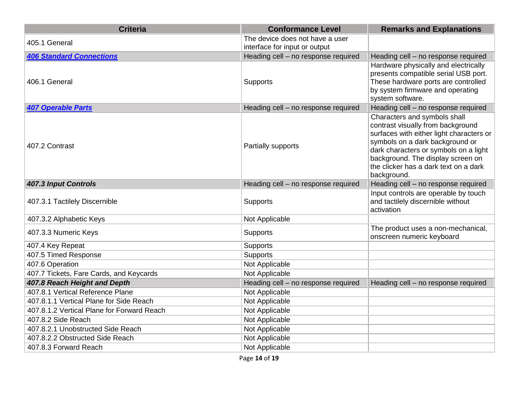| <b>Criteria</b>                            | <b>Conformance Level</b>                                         | <b>Remarks and Explanations</b>                                                                                                                                                                                                                                                        |
|--------------------------------------------|------------------------------------------------------------------|----------------------------------------------------------------------------------------------------------------------------------------------------------------------------------------------------------------------------------------------------------------------------------------|
| 405.1 General                              | The device does not have a user<br>interface for input or output |                                                                                                                                                                                                                                                                                        |
| <b>406 Standard Connections</b>            | Heading cell - no response required                              | Heading cell - no response required                                                                                                                                                                                                                                                    |
| 406.1 General                              | <b>Supports</b>                                                  | Hardware physically and electrically<br>presents compatible serial USB port.<br>These hardware ports are controlled<br>by system firmware and operating<br>system software.                                                                                                            |
| <b>407 Operable Parts</b>                  | Heading cell - no response required                              | Heading cell - no response required                                                                                                                                                                                                                                                    |
| 407.2 Contrast                             | Partially supports                                               | Characters and symbols shall<br>contrast visually from background<br>surfaces with either light characters or<br>symbols on a dark background or<br>dark characters or symbols on a light<br>background. The display screen on<br>the clicker has a dark text on a dark<br>background. |
| <b>407.3 Input Controls</b>                | Heading cell - no response required                              | Heading cell - no response required                                                                                                                                                                                                                                                    |
| 407.3.1 Tactilely Discernible              | Supports                                                         | Input controls are operable by touch<br>and tactilely discernible without<br>activation                                                                                                                                                                                                |
| 407.3.2 Alphabetic Keys                    | Not Applicable                                                   |                                                                                                                                                                                                                                                                                        |
| 407.3.3 Numeric Keys                       | Supports                                                         | The product uses a non-mechanical,<br>onscreen numeric keyboard                                                                                                                                                                                                                        |
| 407.4 Key Repeat                           | Supports                                                         |                                                                                                                                                                                                                                                                                        |
| 407.5 Timed Response                       | Supports                                                         |                                                                                                                                                                                                                                                                                        |
| 407.6 Operation                            | Not Applicable                                                   |                                                                                                                                                                                                                                                                                        |
| 407.7 Tickets, Fare Cards, and Keycards    | Not Applicable                                                   |                                                                                                                                                                                                                                                                                        |
| 407.8 Reach Height and Depth               | Heading cell - no response required                              | Heading cell - no response required                                                                                                                                                                                                                                                    |
| 407.8.1 Vertical Reference Plane           | Not Applicable                                                   |                                                                                                                                                                                                                                                                                        |
| 407.8.1.1 Vertical Plane for Side Reach    | Not Applicable                                                   |                                                                                                                                                                                                                                                                                        |
| 407.8.1.2 Vertical Plane for Forward Reach | Not Applicable                                                   |                                                                                                                                                                                                                                                                                        |
| 407.8.2 Side Reach                         | Not Applicable                                                   |                                                                                                                                                                                                                                                                                        |
| 407.8.2.1 Unobstructed Side Reach          | Not Applicable                                                   |                                                                                                                                                                                                                                                                                        |
| 407.8.2.2 Obstructed Side Reach            | Not Applicable                                                   |                                                                                                                                                                                                                                                                                        |
| 407.8.3 Forward Reach                      | Not Applicable                                                   |                                                                                                                                                                                                                                                                                        |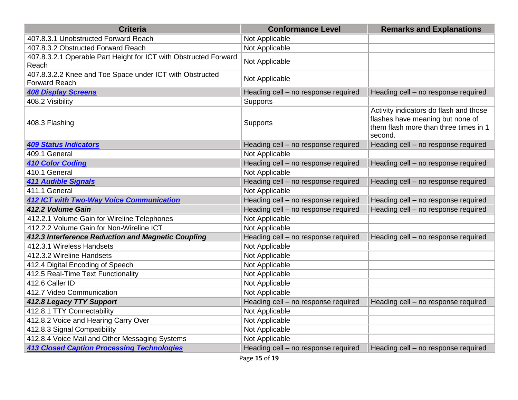| <b>Criteria</b>                                                                  | <b>Conformance Level</b>            | <b>Remarks and Explanations</b>                                                                                                |
|----------------------------------------------------------------------------------|-------------------------------------|--------------------------------------------------------------------------------------------------------------------------------|
| 407.8.3.1 Unobstructed Forward Reach                                             | Not Applicable                      |                                                                                                                                |
| 407.8.3.2 Obstructed Forward Reach                                               | Not Applicable                      |                                                                                                                                |
| 407.8.3.2.1 Operable Part Height for ICT with Obstructed Forward<br>Reach        | Not Applicable                      |                                                                                                                                |
| 407.8.3.2.2 Knee and Toe Space under ICT with Obstructed<br><b>Forward Reach</b> | Not Applicable                      |                                                                                                                                |
| <b>408 Display Screens</b>                                                       | Heading cell - no response required | Heading cell - no response required                                                                                            |
| 408.2 Visibility                                                                 | <b>Supports</b>                     |                                                                                                                                |
| 408.3 Flashing                                                                   | <b>Supports</b>                     | Activity indicators do flash and those<br>flashes have meaning but none of<br>them flash more than three times in 1<br>second. |
| <b>409 Status Indicators</b>                                                     | Heading cell - no response required | Heading cell - no response required                                                                                            |
| 409.1 General                                                                    | Not Applicable                      |                                                                                                                                |
| <b>410 Color Coding</b>                                                          | Heading cell - no response required | Heading cell - no response required                                                                                            |
| 410.1 General                                                                    | Not Applicable                      |                                                                                                                                |
| <b>411 Audible Signals</b>                                                       | Heading cell - no response required | Heading cell - no response required                                                                                            |
| 411.1 General                                                                    | Not Applicable                      |                                                                                                                                |
| <b>412 ICT with Two-Way Voice Communication</b>                                  | Heading cell - no response required | Heading cell - no response required                                                                                            |
| 412.2 Volume Gain                                                                | Heading cell - no response required | Heading cell - no response required                                                                                            |
| 412.2.1 Volume Gain for Wireline Telephones                                      | Not Applicable                      |                                                                                                                                |
| 412.2.2 Volume Gain for Non-Wireline ICT                                         | Not Applicable                      |                                                                                                                                |
| 412.3 Interference Reduction and Magnetic Coupling                               | Heading cell - no response required | Heading cell - no response required                                                                                            |
| 412.3.1 Wireless Handsets                                                        | Not Applicable                      |                                                                                                                                |
| 412.3.2 Wireline Handsets                                                        | Not Applicable                      |                                                                                                                                |
| 412.4 Digital Encoding of Speech                                                 | Not Applicable                      |                                                                                                                                |
| 412.5 Real-Time Text Functionality                                               | Not Applicable                      |                                                                                                                                |
| 412.6 Caller ID                                                                  | Not Applicable                      |                                                                                                                                |
| 412.7 Video Communication                                                        | Not Applicable                      |                                                                                                                                |
| 412.8 Legacy TTY Support                                                         | Heading cell - no response required | Heading cell - no response required                                                                                            |
| 412.8.1 TTY Connectability                                                       | Not Applicable                      |                                                                                                                                |
| 412.8.2 Voice and Hearing Carry Over                                             | Not Applicable                      |                                                                                                                                |
| 412.8.3 Signal Compatibility                                                     | Not Applicable                      |                                                                                                                                |
| 412.8.4 Voice Mail and Other Messaging Systems                                   | Not Applicable                      |                                                                                                                                |
| <b>413 Closed Caption Processing Technologies</b>                                | Heading cell - no response required | Heading cell - no response required                                                                                            |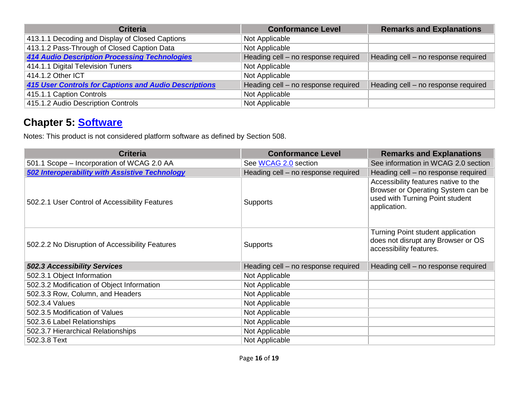| <b>Criteria</b>                                              | <b>Conformance Level</b>            | <b>Remarks and Explanations</b>     |
|--------------------------------------------------------------|-------------------------------------|-------------------------------------|
| 413.1.1 Decoding and Display of Closed Captions              | Not Applicable                      |                                     |
| 413.1.2 Pass-Through of Closed Caption Data                  | Not Applicable                      |                                     |
| <b>414 Audio Description Processing Technologies</b>         | Heading cell - no response required | Heading cell - no response required |
| 414.1.1 Digital Television Tuners                            | Not Applicable                      |                                     |
| 414.1.2 Other ICT                                            | Not Applicable                      |                                     |
| <b>415 User Controls for Captions and Audio Descriptions</b> | Heading cell - no response required | Heading cell - no response required |
| 415.1.1 Caption Controls                                     | Not Applicable                      |                                     |
| 415.1.2 Audio Description Controls                           | Not Applicable                      |                                     |

#### **Chapter 5: [Software](https://www.access-board.gov/guidelines-and-standards/communications-and-it/about-the-ict-refresh/final-rule/text-of-the-standards-and-guidelines#501-general)**

Notes: This product is not considered platform software as defined by Section 508.

| <b>Criteria</b>                                       | <b>Conformance Level</b>            | <b>Remarks and Explanations</b>                                                                                               |
|-------------------------------------------------------|-------------------------------------|-------------------------------------------------------------------------------------------------------------------------------|
| 501.1 Scope - Incorporation of WCAG 2.0 AA            | See WCAG 2.0 section                | See information in WCAG 2.0 section                                                                                           |
| <b>502 Interoperability with Assistive Technology</b> | Heading cell - no response required | Heading cell - no response required                                                                                           |
| 502.2.1 User Control of Accessibility Features        | <b>Supports</b>                     | Accessibility features native to the<br>Browser or Operating System can be<br>used with Turning Point student<br>application. |
| 502.2.2 No Disruption of Accessibility Features       | <b>Supports</b>                     | Turning Point student application<br>does not disrupt any Browser or OS<br>accessibility features.                            |
| <b>502.3 Accessibility Services</b>                   | Heading cell - no response required | Heading cell - no response required                                                                                           |
| 502.3.1 Object Information                            | Not Applicable                      |                                                                                                                               |
| 502.3.2 Modification of Object Information            | Not Applicable                      |                                                                                                                               |
| 502.3.3 Row, Column, and Headers                      | Not Applicable                      |                                                                                                                               |
| 502.3.4 Values                                        | Not Applicable                      |                                                                                                                               |
| 502.3.5 Modification of Values                        | Not Applicable                      |                                                                                                                               |
| 502.3.6 Label Relationships                           | Not Applicable                      |                                                                                                                               |
| 502.3.7 Hierarchical Relationships                    | Not Applicable                      |                                                                                                                               |
| 502.3.8 Text                                          | Not Applicable                      |                                                                                                                               |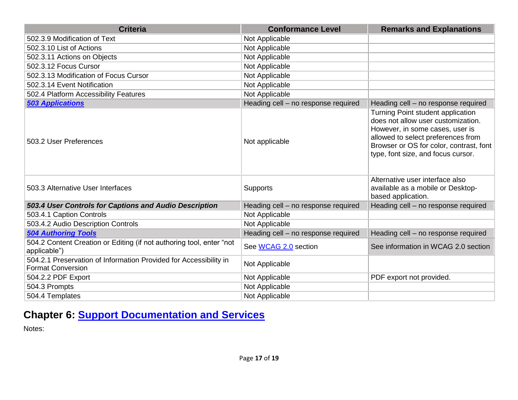| <b>Criteria</b>                                                                               | <b>Conformance Level</b>            | <b>Remarks and Explanations</b>                                                                                                                                                                                                   |
|-----------------------------------------------------------------------------------------------|-------------------------------------|-----------------------------------------------------------------------------------------------------------------------------------------------------------------------------------------------------------------------------------|
| 502.3.9 Modification of Text                                                                  | Not Applicable                      |                                                                                                                                                                                                                                   |
| 502.3.10 List of Actions                                                                      | Not Applicable                      |                                                                                                                                                                                                                                   |
| 502.3.11 Actions on Objects                                                                   | Not Applicable                      |                                                                                                                                                                                                                                   |
| 502.3.12 Focus Cursor                                                                         | Not Applicable                      |                                                                                                                                                                                                                                   |
| 502.3.13 Modification of Focus Cursor                                                         | Not Applicable                      |                                                                                                                                                                                                                                   |
| 502.3.14 Event Notification                                                                   | Not Applicable                      |                                                                                                                                                                                                                                   |
| 502.4 Platform Accessibility Features                                                         | Not Applicable                      |                                                                                                                                                                                                                                   |
| <b>503 Applications</b>                                                                       | Heading cell - no response required | Heading cell - no response required                                                                                                                                                                                               |
| 503.2 User Preferences                                                                        | Not applicable                      | Turning Point student application<br>does not allow user customization.<br>However, in some cases, user is<br>allowed to select preferences from<br>Browser or OS for color, contrast, font<br>type, font size, and focus cursor. |
| 503.3 Alternative User Interfaces                                                             | <b>Supports</b>                     | Alternative user interface also<br>available as a mobile or Desktop-<br>based application.                                                                                                                                        |
| 503.4 User Controls for Captions and Audio Description                                        | Heading cell - no response required | Heading cell - no response required                                                                                                                                                                                               |
| 503.4.1 Caption Controls                                                                      | Not Applicable                      |                                                                                                                                                                                                                                   |
| 503.4.2 Audio Description Controls                                                            | Not Applicable                      |                                                                                                                                                                                                                                   |
| <b>504 Authoring Tools</b>                                                                    | Heading cell - no response required | Heading cell - no response required                                                                                                                                                                                               |
| 504.2 Content Creation or Editing (if not authoring tool, enter "not<br>applicable")          | See WCAG 2.0 section                | See information in WCAG 2.0 section                                                                                                                                                                                               |
| 504.2.1 Preservation of Information Provided for Accessibility in<br><b>Format Conversion</b> | Not Applicable                      |                                                                                                                                                                                                                                   |
| 504.2.2 PDF Export                                                                            | Not Applicable                      | PDF export not provided.                                                                                                                                                                                                          |
| 504.3 Prompts                                                                                 | Not Applicable                      |                                                                                                                                                                                                                                   |
| 504.4 Templates                                                                               | Not Applicable                      |                                                                                                                                                                                                                                   |

# **Chapter 6: [Support Documentation and Services](https://www.access-board.gov/guidelines-and-standards/communications-and-it/about-the-ict-refresh/final-rule/text-of-the-standards-and-guidelines#601-general)**

Notes: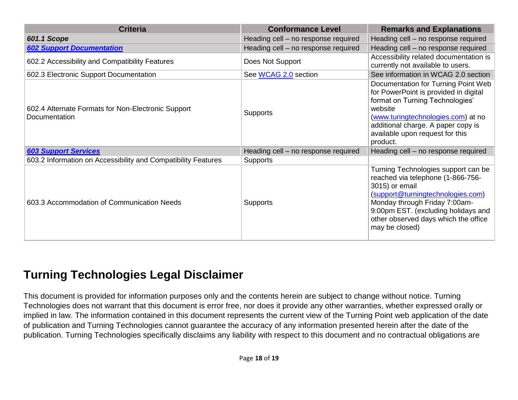| <b>Criteria</b>                                                     | <b>Conformance Level</b>            | <b>Remarks and Explanations</b>                                                                                                                                                                                                                                   |
|---------------------------------------------------------------------|-------------------------------------|-------------------------------------------------------------------------------------------------------------------------------------------------------------------------------------------------------------------------------------------------------------------|
| <b>601.1 Scope</b>                                                  | Heading cell – no response required | Heading cell - no response required                                                                                                                                                                                                                               |
| <b>602 Support Documentation</b>                                    | Heading cell - no response required | Heading cell - no response required                                                                                                                                                                                                                               |
| 602.2 Accessibility and Compatibility Features                      | Does Not Support                    | Accessibility related documentation is<br>currently not available to users.                                                                                                                                                                                       |
| 602.3 Electronic Support Documentation                              | See WCAG 2.0 section                | See information in WCAG 2.0 section                                                                                                                                                                                                                               |
| 602.4 Alternate Formats for Non-Electronic Support<br>Documentation | <b>Supports</b>                     | Documentation for Turning Point Web<br>for PowerPoint is provided in digital<br>format on Turning Technologies'<br>website<br>(www.turingtechnologies.com) at no<br>additional charge. A paper copy is<br>available upon request for this<br>product.             |
| <b>603 Support Services</b>                                         | Heading cell - no response required | Heading cell - no response required                                                                                                                                                                                                                               |
| 603.2 Information on Accessibility and Compatibility Features       | Supports                            |                                                                                                                                                                                                                                                                   |
| 603.3 Accommodation of Communication Needs                          | <b>Supports</b>                     | Turning Technologies support can be<br>reached via telephone (1-866-756-<br>3015) or email<br>(support@turningtechnologies.com)<br>Monday through Friday 7:00am-<br>9:00pm EST. (excluding holidays and<br>other observed days which the office<br>may be closed) |

# **Turning Technologies Legal Disclaimer**

This document is provided for information purposes only and the contents herein are subject to change without notice. Turning Technologies does not warrant that this document is error free, nor does it provide any other warranties, whether expressed orally or implied in law. The information contained in this document represents the current view of the Turning Point web application of the date of publication and Turning Technologies cannot guarantee the accuracy of any information presented herein after the date of the publication. Turning Technologies specifically disclaims any liability with respect to this document and no contractual obligations are